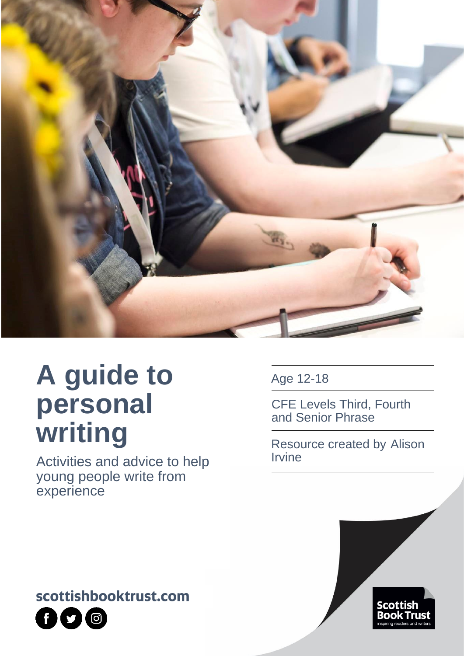

# **A guide to personal writing**

Activities and advice to help young people write from experience

Age 12-18

CFE Levels Third, Fourth and Senior Phrase

Resource created by Alison Irvine





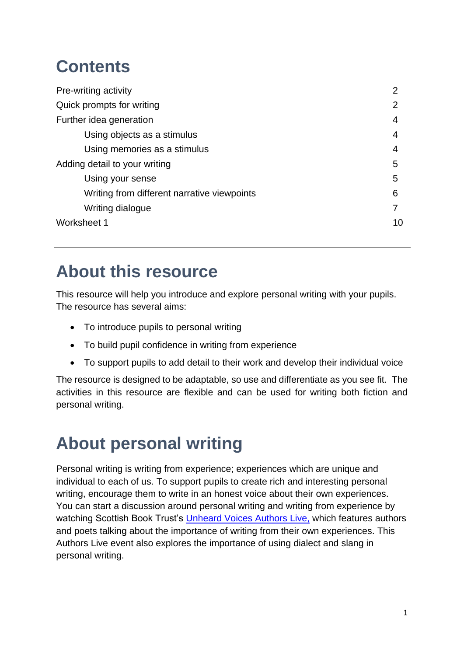# **Contents**

| Pre-writing activity                        | $\overline{2}$ |
|---------------------------------------------|----------------|
| Quick prompts for writing                   | 2              |
| Further idea generation                     | 4              |
| Using objects as a stimulus                 | 4              |
| Using memories as a stimulus                | 4              |
| Adding detail to your writing               | 5              |
| Using your sense                            | 5              |
| Writing from different narrative viewpoints | 6              |
| Writing dialogue                            |                |
| Worksheet 1                                 | 10             |

### **About this resource**

This resource will help you introduce and explore personal writing with your pupils. The resource has several aims:

- To introduce pupils to personal writing
- To build pupil confidence in writing from experience
- To support pupils to add detail to their work and develop their individual voice

The resource is designed to be adaptable, so use and differentiate as you see fit. The activities in this resource are flexible and can be used for writing both fiction and personal writing.

# **About personal writing**

Personal writing is writing from experience; experiences which are unique and individual to each of us. To support pupils to create rich and interesting personal writing, encourage them to write in an honest voice about their own experiences. You can start a discussion around personal writing and writing from experience by watching Scottish Book Trust's [Unheard Voices Authors Live,](https://www.scottishbooktrust.com/authors-live-on-demand/unheard-voices-panel) which features authors and poets talking about the importance of writing from their own experiences. This Authors Live event also explores the importance of using dialect and slang in personal writing.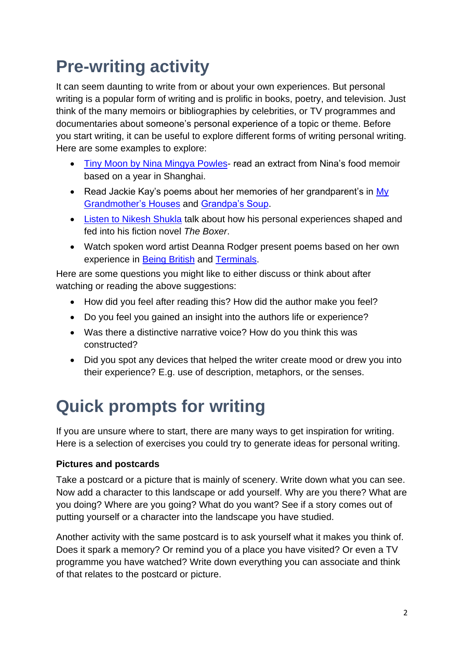# **Pre-writing activity**

It can seem daunting to write from or about your own experiences. But personal writing is a popular form of writing and is prolific in books, poetry, and television. Just think of the many memoirs or bibliographies by celebrities, or TV programmes and documentaries about someone's personal experience of a topic or theme. Before you start writing, it can be useful to explore different forms of writing personal writing. Here are some examples to explore:

- Tiny Moon [by Nina Mingya Powles-](https://theemmapress.com/shop/tiny-moons/) read an extract from Nina's food memoir based on a year in Shanghai.
- Read Jackie Kay's poems about her memories of her grandparent's in My [Grandmother's Houses](https://www.scottishpoetrylibrary.org.uk/poem/my-grandmothers-houses/) and [Grandpa's Soup.](https://www.scottishpoetrylibrary.org.uk/poem/grandpas-soup/)
- [Listen to Nikesh Shukla](https://www.scottishbooktrust.com/authors-live-on-demand/nikesh-shukla) talk about how his personal experiences shaped and fed into his fiction novel *The Boxer*.
- Watch spoken word artist Deanna Rodger present poems based on her own experience in [Being British](https://www.deannarodger.co.uk/watch/2017/8/22/deanna-rodger-being-british-sofar-london) and [Terminals.](https://www.bbc.co.uk/events/e5bp8g/play/abj82m/p06mtk6k)

Here are some questions you might like to either discuss or think about after watching or reading the above suggestions:

- How did you feel after reading this? How did the author make you feel?
- Do you feel you gained an insight into the authors life or experience?
- Was there a distinctive narrative voice? How do you think this was constructed?
- Did you spot any devices that helped the writer create mood or drew you into their experience? E.g. use of description, metaphors, or the senses.

# **Quick prompts for writing**

If you are unsure where to start, there are many ways to get inspiration for writing. Here is a selection of exercises you could try to generate ideas for personal writing.

#### **Pictures and postcards**

Take a postcard or a picture that is mainly of scenery. Write down what you can see. Now add a character to this landscape or add yourself. Why are you there? What are you doing? Where are you going? What do you want? See if a story comes out of putting yourself or a character into the landscape you have studied.

Another activity with the same postcard is to ask yourself what it makes you think of. Does it spark a memory? Or remind you of a place you have visited? Or even a TV programme you have watched? Write down everything you can associate and think of that relates to the postcard or picture.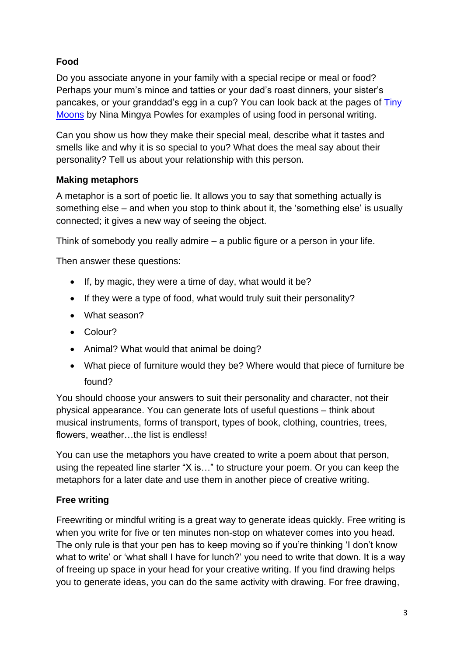#### **Food**

Do you associate anyone in your family with a special recipe or meal or food? Perhaps your mum's mince and tatties or your dad's roast dinners, your sister's pancakes, or your granddad's egg in a cup? You can look back at the pages of [Tiny](https://theemmapress.com/shop/tiny-moons/)  [Moons](https://theemmapress.com/shop/tiny-moons/) by Nina Mingya Powles for examples of using food in personal writing.

Can you show us how they make their special meal, describe what it tastes and smells like and why it is so special to you? What does the meal say about their personality? Tell us about your relationship with this person.

#### **Making metaphors**

A metaphor is a sort of poetic lie. It allows you to say that something actually is something else – and when you stop to think about it, the 'something else' is usually connected; it gives a new way of seeing the object.

Think of somebody you really admire – a public figure or a person in your life.

Then answer these questions:

- If, by magic, they were a time of day, what would it be?
- If they were a type of food, what would truly suit their personality?
- What season?
- Colour?
- Animal? What would that animal be doing?
- What piece of furniture would they be? Where would that piece of furniture be found?

You should choose your answers to suit their personality and character, not their physical appearance. You can generate lots of useful questions – think about musical instruments, forms of transport, types of book, clothing, countries, trees, flowers, weather…the list is endless!

You can use the metaphors you have created to write a poem about that person, using the repeated line starter "X is…" to structure your poem. Or you can keep the metaphors for a later date and use them in another piece of creative writing.

#### **Free writing**

Freewriting or mindful writing is a great way to generate ideas quickly. Free writing is when you write for five or ten minutes non-stop on whatever comes into you head. The only rule is that your pen has to keep moving so if you're thinking 'I don't know what to write' or 'what shall I have for lunch?' you need to write that down. It is a way of freeing up space in your head for your creative writing. If you find drawing helps you to generate ideas, you can do the same activity with drawing. For free drawing,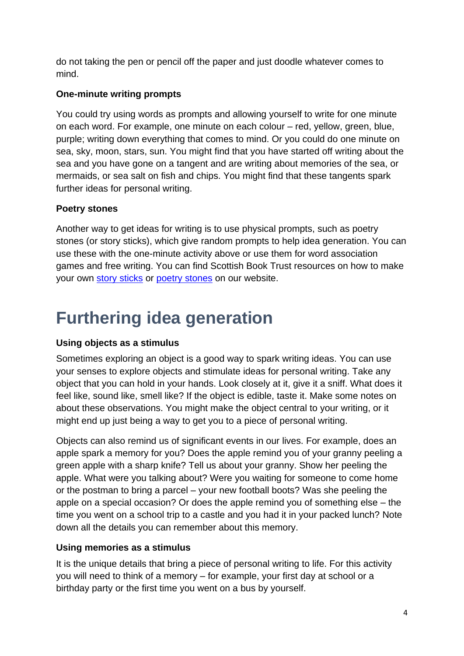do not taking the pen or pencil off the paper and just doodle whatever comes to mind.

#### **One-minute writing prompts**

You could try using words as prompts and allowing yourself to write for one minute on each word. For example, one minute on each colour – red, yellow, green, blue, purple; writing down everything that comes to mind. Or you could do one minute on sea, sky, moon, stars, sun. You might find that you have started off writing about the sea and you have gone on a tangent and are writing about memories of the sea, or mermaids, or sea salt on fish and chips. You might find that these tangents spark further ideas for personal writing.

#### **Poetry stones**

Another way to get ideas for writing is to use physical prompts, such as poetry stones (or story sticks), which give random prompts to help idea generation. You can use these with the one-minute activity above or use them for word association games and free writing. You can find Scottish Book Trust resources on how to make your own [story sticks](https://www.scottishbooktrust.com/learning-resources/how-to-make-story-sticks) or [poetry stones](https://www.scottishbooktrust.com/learning-resources/how-to-make-poetry-stones) on our website.

### **Furthering idea generation**

#### **Using objects as a stimulus**

Sometimes exploring an object is a good way to spark writing ideas. You can use your senses to explore objects and stimulate ideas for personal writing. Take any object that you can hold in your hands. Look closely at it, give it a sniff. What does it feel like, sound like, smell like? If the object is edible, taste it. Make some notes on about these observations. You might make the object central to your writing, or it might end up just being a way to get you to a piece of personal writing.

Objects can also remind us of significant events in our lives. For example, does an apple spark a memory for you? Does the apple remind you of your granny peeling a green apple with a sharp knife? Tell us about your granny. Show her peeling the apple. What were you talking about? Were you waiting for someone to come home or the postman to bring a parcel – your new football boots? Was she peeling the apple on a special occasion? Or does the apple remind you of something else – the time you went on a school trip to a castle and you had it in your packed lunch? Note down all the details you can remember about this memory.

#### **Using memories as a stimulus**

It is the unique details that bring a piece of personal writing to life. For this activity you will need to think of a memory – for example, your first day at school or a birthday party or the first time you went on a bus by yourself.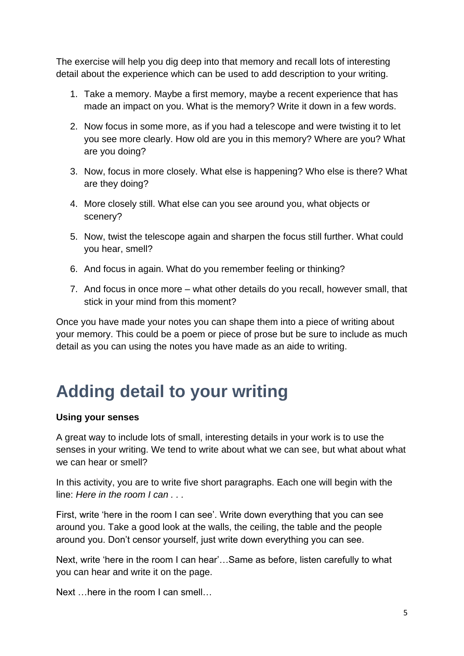The exercise will help you dig deep into that memory and recall lots of interesting detail about the experience which can be used to add description to your writing.

- 1. Take a memory. Maybe a first memory, maybe a recent experience that has made an impact on you. What is the memory? Write it down in a few words.
- 2. Now focus in some more, as if you had a telescope and were twisting it to let you see more clearly. How old are you in this memory? Where are you? What are you doing?
- 3. Now, focus in more closely. What else is happening? Who else is there? What are they doing?
- 4. More closely still. What else can you see around you, what objects or scenery?
- 5. Now, twist the telescope again and sharpen the focus still further. What could you hear, smell?
- 6. And focus in again. What do you remember feeling or thinking?
- 7. And focus in once more what other details do you recall, however small, that stick in your mind from this moment?

Once you have made your notes you can shape them into a piece of writing about your memory. This could be a poem or piece of prose but be sure to include as much detail as you can using the notes you have made as an aide to writing.

### **Adding detail to your writing**

#### **Using your senses**

A great way to include lots of small, interesting details in your work is to use the senses in your writing. We tend to write about what we can see, but what about what we can hear or smell?

In this activity, you are to write five short paragraphs. Each one will begin with the line: *Here in the room I can . . .*

First, write 'here in the room I can see'. Write down everything that you can see around you. Take a good look at the walls, the ceiling, the table and the people around you. Don't censor yourself, just write down everything you can see.

Next, write 'here in the room I can hear'…Same as before, listen carefully to what you can hear and write it on the page.

Next …here in the room I can smell…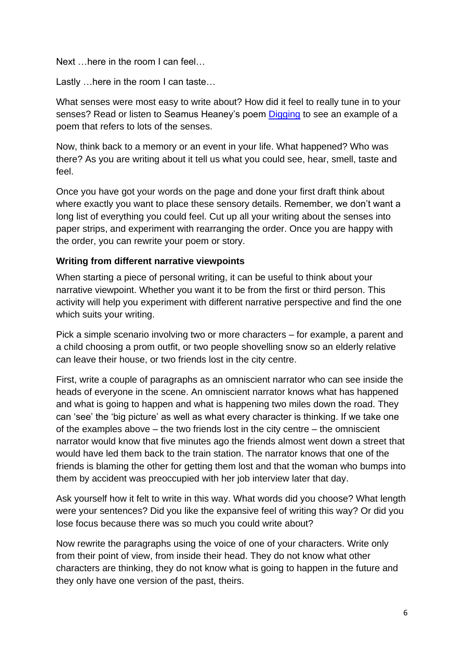Next …here in the room I can feel…

Lastly …here in the room I can taste…

What senses were most easy to write about? How did it feel to really tune in to your senses? Read or listen to Seamus Heaney's poem [Digging](https://www.poetryfoundation.org/poems/47555/digging) to see an example of a poem that refers to lots of the senses.

Now, think back to a memory or an event in your life. What happened? Who was there? As you are writing about it tell us what you could see, hear, smell, taste and feel.

Once you have got your words on the page and done your first draft think about where exactly you want to place these sensory details. Remember, we don't want a long list of everything you could feel. Cut up all your writing about the senses into paper strips, and experiment with rearranging the order. Once you are happy with the order, you can rewrite your poem or story.

#### **Writing from different narrative viewpoints**

When starting a piece of personal writing, it can be useful to think about your narrative viewpoint. Whether you want it to be from the first or third person. This activity will help you experiment with different narrative perspective and find the one which suits your writing.

Pick a simple scenario involving two or more characters – for example, a parent and a child choosing a prom outfit, or two people shovelling snow so an elderly relative can leave their house, or two friends lost in the city centre.

First, write a couple of paragraphs as an omniscient narrator who can see inside the heads of everyone in the scene. An omniscient narrator knows what has happened and what is going to happen and what is happening two miles down the road. They can 'see' the 'big picture' as well as what every character is thinking. If we take one of the examples above – the two friends lost in the city centre – the omniscient narrator would know that five minutes ago the friends almost went down a street that would have led them back to the train station. The narrator knows that one of the friends is blaming the other for getting them lost and that the woman who bumps into them by accident was preoccupied with her job interview later that day.

Ask yourself how it felt to write in this way. What words did you choose? What length were your sentences? Did you like the expansive feel of writing this way? Or did you lose focus because there was so much you could write about?

Now rewrite the paragraphs using the voice of one of your characters. Write only from their point of view, from inside their head. They do not know what other characters are thinking, they do not know what is going to happen in the future and they only have one version of the past, theirs.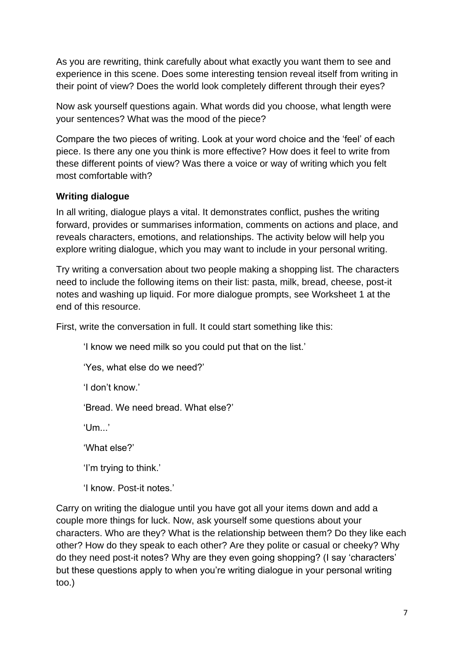As you are rewriting, think carefully about what exactly you want them to see and experience in this scene. Does some interesting tension reveal itself from writing in their point of view? Does the world look completely different through their eyes?

Now ask yourself questions again. What words did you choose, what length were your sentences? What was the mood of the piece?

Compare the two pieces of writing. Look at your word choice and the 'feel' of each piece. Is there any one you think is more effective? How does it feel to write from these different points of view? Was there a voice or way of writing which you felt most comfortable with?

#### **Writing dialogue**

In all writing, dialogue plays a vital. It demonstrates conflict, pushes the writing forward, provides or summarises information, comments on actions and place, and reveals characters, emotions, and relationships. The activity below will help you explore writing dialogue, which you may want to include in your personal writing.

Try writing a conversation about two people making a shopping list. The characters need to include the following items on their list: pasta, milk, bread, cheese, post-it notes and washing up liquid. For more dialogue prompts, see Worksheet 1 at the end of this resource.

First, write the conversation in full. It could start something like this:

'I know we need milk so you could put that on the list.'

'Yes, what else do we need?'

'I don't know.'

'Bread. We need bread. What else?'

'Um...'

'What else?'

'I'm trying to think.'

'I know. Post-it notes.'

Carry on writing the dialogue until you have got all your items down and add a couple more things for luck. Now, ask yourself some questions about your characters. Who are they? What is the relationship between them? Do they like each other? How do they speak to each other? Are they polite or casual or cheeky? Why do they need post-it notes? Why are they even going shopping? (I say 'characters' but these questions apply to when you're writing dialogue in your personal writing too.)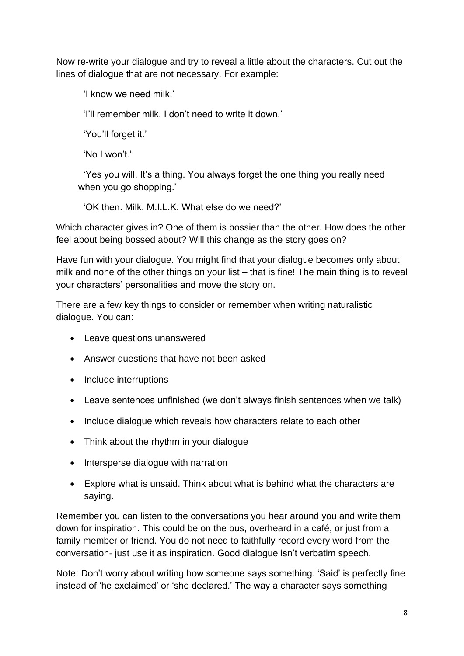Now re-write your dialogue and try to reveal a little about the characters. Cut out the lines of dialogue that are not necessary. For example:

'I know we need milk.'

'I'll remember milk. I don't need to write it down.'

'You'll forget it.'

'No I won't.'

 'Yes you will. It's a thing. You always forget the one thing you really need when you go shopping.'

'OK then. Milk. M.I.L.K. What else do we need?'

Which character gives in? One of them is bossier than the other. How does the other feel about being bossed about? Will this change as the story goes on?

Have fun with your dialogue. You might find that your dialogue becomes only about milk and none of the other things on your list – that is fine! The main thing is to reveal your characters' personalities and move the story on.

There are a few key things to consider or remember when writing naturalistic dialogue. You can:

- Leave questions unanswered
- Answer questions that have not been asked
- Include interruptions
- Leave sentences unfinished (we don't always finish sentences when we talk)
- Include dialogue which reveals how characters relate to each other
- Think about the rhythm in your dialogue
- Intersperse dialogue with narration
- Explore what is unsaid. Think about what is behind what the characters are saying.

Remember you can listen to the conversations you hear around you and write them down for inspiration. This could be on the bus, overheard in a café, or just from a family member or friend. You do not need to faithfully record every word from the conversation- just use it as inspiration. Good dialogue isn't verbatim speech.

Note: Don't worry about writing how someone says something. 'Said' is perfectly fine instead of 'he exclaimed' or 'she declared.' The way a character says something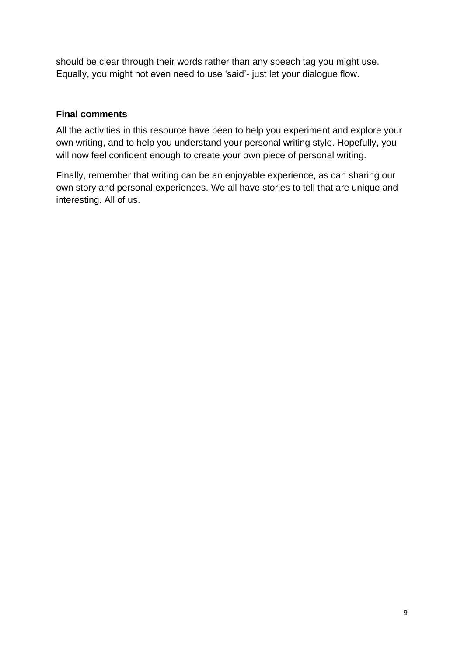should be clear through their words rather than any speech tag you might use. Equally, you might not even need to use 'said'- just let your dialogue flow.

#### **Final comments**

All the activities in this resource have been to help you experiment and explore your own writing, and to help you understand your personal writing style. Hopefully, you will now feel confident enough to create your own piece of personal writing.

Finally, remember that writing can be an enjoyable experience, as can sharing our own story and personal experiences. We all have stories to tell that are unique and interesting. All of us.